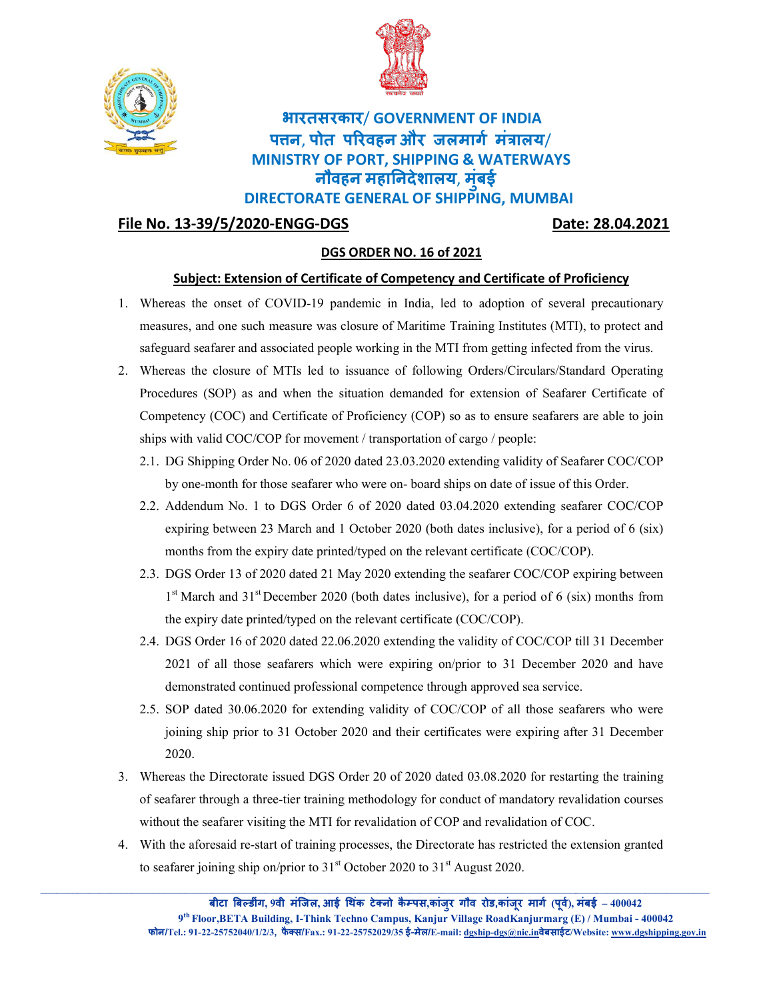



## भारतसरकार / GOVERNMENT OF INDIA पत्तन, पोत परिवहन और जलमार्ग मंत्रालय/ MINISTRY OF PORT, SHIPPING & WATERWAYS नौवहन महानिदेशालय, मुंबई **बड़े** बड़ी के बाद करने के बाद करने के बाद करने के बाद करने के बाद करने के बाद करने के बाद करने के बाद करने के ब

DIRECTORATE GENERAL OF SHIPPING, MUMBAI

## File No. 13-39/5/2020-ENGG

Date: 28.04.2021

## DGS ORDER NO. 16 of 2021

## <u>Date: 28.04.2021</u><br>DGS ORDER NO. 16 of 2021<br>Subject: Extension of Certificate of Competency and Certificate of Proficiency

- 1. Whereas the onset of COVID-19 pandemic in India, led to adoption of several precautionary measures, and one such measure was closure of Maritime Training Institutes (MTI), to protect and measures, and one such measure was closure of Maritime Training Institutes (MTI), to protect and<br>safeguard seafarer and associated people working in the MTI from getting infected from the virus.
- 2. Whereas the closure of MTIs led to issuance of following Orders/Circulars/Standard Operating Procedures (SOP) as and when the situation demanded for extension of Seafarer Certificate of Procedures (SOP) as and when the situation demanded for extension of Seafarer Certificate of<br>Competency (COC) and Certificate of Proficiency (COP) so as to ensure seafarers are able to join ships with valid COC/COP for movement / transportation of cargo / people: Whereas the onest of COVID-19 pandemic in India, led to adoption of several precastines<br>are most and one such measure was chosen of Martinar Training Institutes (MT), to protect and<br>safegured scafare and associated poople
	- 2.1. DG Shipping Order No. 06 of 2020 dated 23.03.2020 extending validity of Seafarer COC/COP by one-month for those seafarer who were on- board ships on date of issue of this Order. by one-month for those seafarer who were on- board ships on date of issue of this Order.
	- 2.2. Addendum No. 1 to DGS Order 6 of 2020 dated 03.04.2020 extending seafarer COC/COP expiring between 23 March and 1 October 2020 (both dates inclusive), for a period of 6 (six) months from the expiry date printed/typed on the relevant certificate (COC/COP). 1 to DGS Order 6 of 2020 dated 03.04.2020 extending seafarer COC/COP<br>1 23 March and 1 October 2020 (both dates inclusive), for a period of 6 (six)<br>expiry date printed/typed on the relevant certificate (COC/COP).
	- 2.3. DGS Order 13 of 2020 dated 21 May 2020 extending the seafarer COC/COP expiring between 1<sup>st</sup> March and 31<sup>st</sup> December 2020 (both dates inclusive), for a period of 6 (six) months from the expiry date printed/typed on the relevant certificate (COC/COP).
	- 2.4. DGS Order 16 of 2020 dated 22.06.2020 extending the validity of COC/COP till 31 December 2021 of all those seafarers which were expiring on/prior to 31 December 2020 and have demonstrated continued professional competence through approved sea service. DGS Order 13 of 2020 dated 21 May 2020 extending the seafarer COC/COP expiring between<br>1<sup>st</sup> March and 31<sup>st</sup> December 2020 (both dates inclusive), for a period of 6 (six) months from<br>the expiry date printed/typed on the r
	- 2.5. SOP dated 30.06.2020 for extending validity of COC/COP of all those seafarers who were joining ship prior to 31 October 2020 and their certificates were expiring after 31 December 2020.
- 3. Whereas the Directorate issued DGS Order 20 of 2020 dated 03.08.2020 for restarting the training of seafarer through a three-tier training methodology for conduct of mandatory revalidation courses without the seafarer visiting the MTI for revalidation of COP and revalidation of COC. 0.06.2020 for extending validity of COC/COP of all those seafarers who were<br>prior to 31 October 2020 and their certificates were expiring after 31 December<br>ctorate issued DGS Order 20 of 2020 dated 03.08.2020 for restartin
- 4. With the aforesaid re-start of training processes, the Directorate has restricted the extension granted to seafarer joining ship on/prior to  $31<sup>st</sup>$  October 2020 to  $31<sup>st</sup>$  August 2020. to seafarer joining ship on/prior to  $31<sup>st</sup>$  October 2020 to  $31<sup>st</sup>$  August 2020.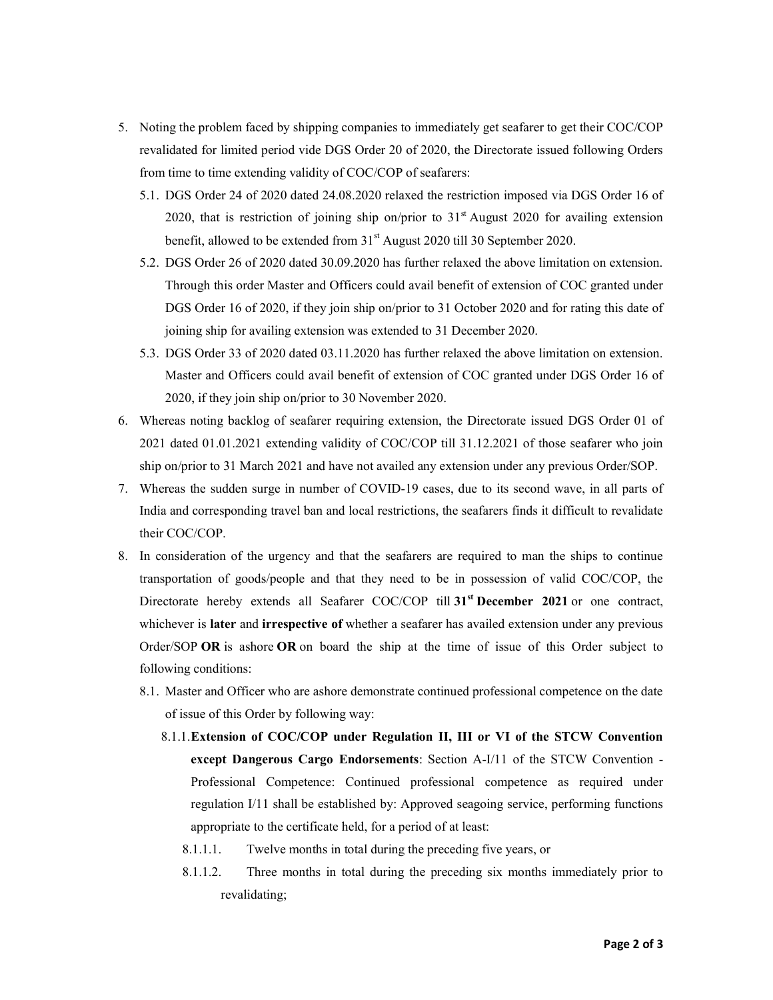- 5. Noting the problem faced by shipping companies to immediately get seafarer to get their COC/COP revalidated for limited period vide DGS Order 20 of 2020, the Directorate issued following Orders from time to time extending validity of COC/COP of seafarers:
	- 5.1. DGS Order 24 of 2020 dated 24.08.2020 relaxed the restriction imposed via DGS Order 16 of 2020, that is restriction of joining ship on/prior to  $31<sup>st</sup>$  August 2020 for availing extension benefit, allowed to be extended from 31<sup>st</sup> August 2020 till 30 September 2020.
	- 5.2. DGS Order 26 of 2020 dated 30.09.2020 has further relaxed the above limitation on extension. Through this order Master and Officers could avail benefit of extension of COC granted under DGS Order 16 of 2020, if they join ship on/prior to 31 October 2020 and for rating this date of joining ship for availing extension was extended to 31 December 2020.
	- 5.3. DGS Order 33 of 2020 dated 03.11.2020 has further relaxed the above limitation on extension. Master and Officers could avail benefit of extension of COC granted under DGS Order 16 of 2020, if they join ship on/prior to 30 November 2020.
- 6. Whereas noting backlog of seafarer requiring extension, the Directorate issued DGS Order 01 of 2021 dated 01.01.2021 extending validity of COC/COP till 31.12.2021 of those seafarer who join ship on/prior to 31 March 2021 and have not availed any extension under any previous Order/SOP.
- 7. Whereas the sudden surge in number of COVID-19 cases, due to its second wave, in all parts of India and corresponding travel ban and local restrictions, the seafarers finds it difficult to revalidate their COC/COP.
- 8. In consideration of the urgency and that the seafarers are required to man the ships to continue transportation of goods/people and that they need to be in possession of valid COC/COP, the Directorate hereby extends all Seafarer COC/COP till 31<sup>st</sup> December 2021 or one contract, whichever is later and irrespective of whether a seafarer has availed extension under any previous Order/SOP OR is ashore OR on board the ship at the time of issue of this Order subject to following conditions:
	- 8.1. Master and Officer who are ashore demonstrate continued professional competence on the date of issue of this Order by following way:
		- 8.1.1.Extension of COC/COP under Regulation II, III or VI of the STCW Convention except Dangerous Cargo Endorsements: Section A-I/11 of the STCW Convention -Professional Competence: Continued professional competence as required under regulation I/11 shall be established by: Approved seagoing service, performing functions appropriate to the certificate held, for a period of at least:
			- 8.1.1.1. Twelve months in total during the preceding five years, or
			- 8.1.1.2. Three months in total during the preceding six months immediately prior to revalidating;